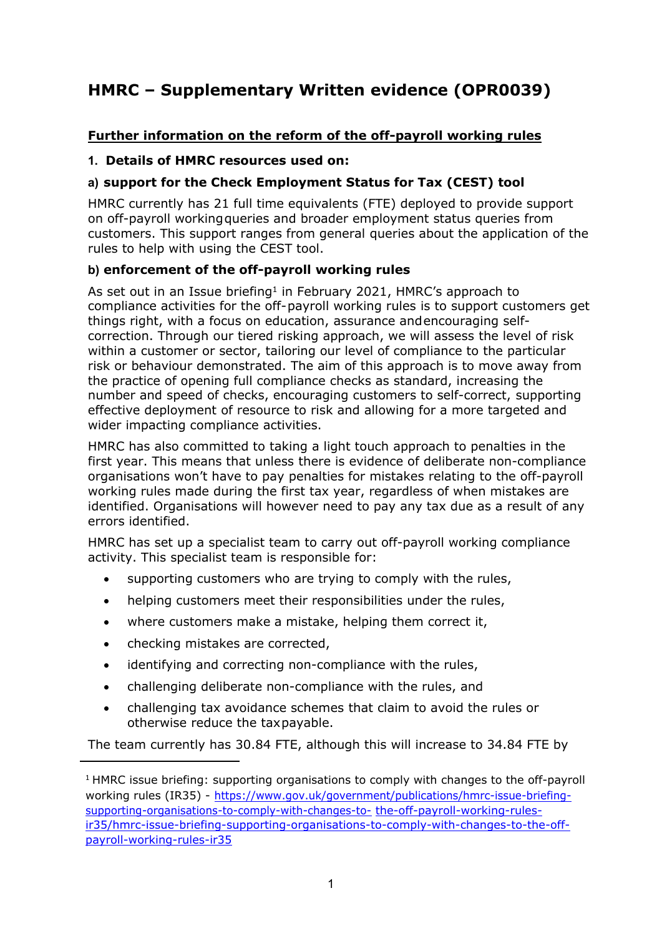# **HMRC – Supplementary Written evidence (OPR0039)**

## **Further information on the reform of the off-payroll working rules**

## **1. Details of HMRC resources used on:**

## **a) support for the Check Employment Status for Tax (CEST) tool**

HMRC currently has 21 full time equivalents (FTE) deployed to provide support on off-payroll workingqueries and broader employment status queries from customers. This support ranges from general queries about the application of the rules to help with using the CEST tool.

## **b) enforcement of the off-payroll working rules**

As set out in an Issue briefing<sup>1</sup> in February 2021, HMRC's approach to compliance activities for the off-payroll working rules is to support customers get things right, with a focus on education, assurance andencouraging selfcorrection. Through our tiered risking approach, we will assess the level of risk within a customer or sector, tailoring our level of compliance to the particular risk or behaviour demonstrated. The aim of this approach is to move away from the practice of opening full compliance checks as standard, increasing the number and speed of checks, encouraging customers to self-correct, supporting effective deployment of resource to risk and allowing for a more targeted and wider impacting compliance activities.

HMRC has also committed to taking a light touch approach to penalties in the first year. This means that unless there is evidence of deliberate non-compliance organisations won't have to pay penalties for mistakes relating to the off-payroll working rules made during the first tax year, regardless of when mistakes are identified. Organisations will however need to pay any tax due as a result of any errors identified.

HMRC has set up a specialist team to carry out off-payroll working compliance activity. This specialist team is responsible for:

- supporting customers who are trying to comply with the rules,
- helping customers meet their responsibilities under the rules,
- where customers make a mistake, helping them correct it,
- checking mistakes are corrected,
- identifying and correcting non-compliance with the rules,
- challenging deliberate non-compliance with the rules, and
- challenging tax avoidance schemes that claim to avoid the rules or otherwise reduce the taxpayable.

The team currently has 30.84 FTE, although this will increase to 34.84 FTE by

<sup>&</sup>lt;sup>1</sup> HMRC issue briefing: supporting organisations to comply with changes to the off-payroll working rules (IR35) - [https://www.gov.uk/government/publications/hmrc-issue-briefin](https://www.gov.uk/government/publications/hmrc-issue-briefing-supporting-organisations-to-comply-with-changes-to-the-off-payroll-working-rules-ir35/hmrc-issue-briefing-supporting-organisations-to-comply-with-changes-to-the-off-payroll-working-rules-ir35)g[supporting-organisations-to-comply-with-changes-t](https://www.gov.uk/government/publications/hmrc-issue-briefing-supporting-organisations-to-comply-with-changes-to-the-off-payroll-working-rules-ir35/hmrc-issue-briefing-supporting-organisations-to-comply-with-changes-to-the-off-payroll-working-rules-ir35)o- [the-off-payroll-working-rules](https://www.gov.uk/government/publications/hmrc-issue-briefing-supporting-organisations-to-comply-with-changes-to-the-off-payroll-working-rules-ir35/hmrc-issue-briefing-supporting-organisations-to-comply-with-changes-to-the-off-payroll-working-rules-ir35)[ir35/hmrc-issue-briefing-supporting-organisations-to-comply-with-changes-to-the-off](https://www.gov.uk/government/publications/hmrc-issue-briefing-supporting-organisations-to-comply-with-changes-to-the-off-payroll-working-rules-ir35/hmrc-issue-briefing-supporting-organisations-to-comply-with-changes-to-the-off-payroll-working-rules-ir35)[payroll-working-rules-ir35](https://www.gov.uk/government/publications/hmrc-issue-briefing-supporting-organisations-to-comply-with-changes-to-the-off-payroll-working-rules-ir35/hmrc-issue-briefing-supporting-organisations-to-comply-with-changes-to-the-off-payroll-working-rules-ir35)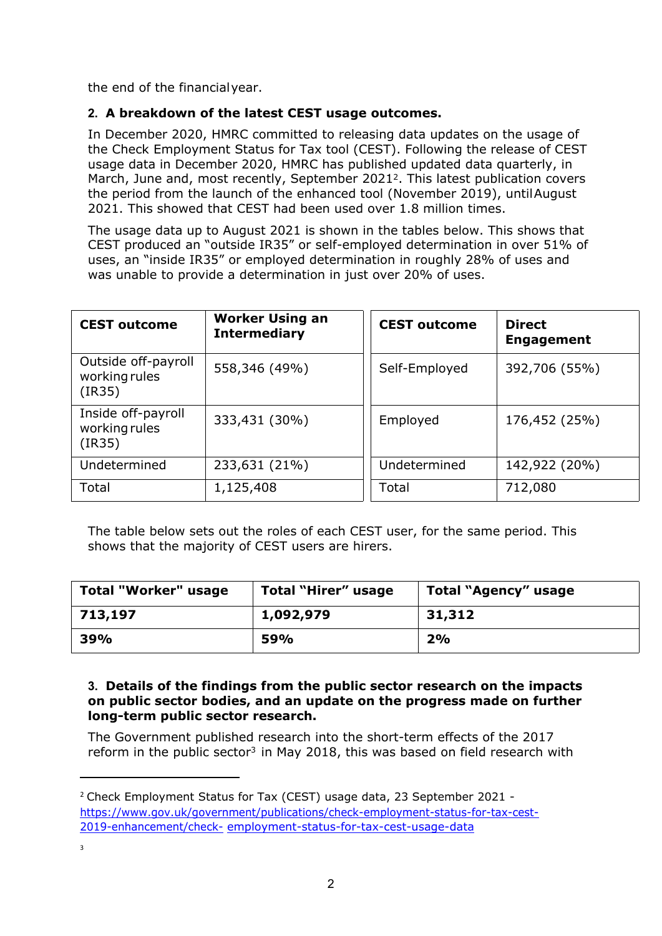the end of the financialyear.

### **2. A breakdown of the latest CEST usage outcomes.**

In December 2020, HMRC committed to releasing data updates on the usage of the Check Employment Status for Tax tool (CEST). Following the release of CEST usage data in December 2020, HMRC has published updated data quarterly, in March, June and, most recently, September 2021<sup>2</sup>. This latest publication covers the period from the launch of the enhanced tool (November 2019), untilAugust 2021. This showed that CEST had been used over 1.8 million times.

The usage data up to August 2021 is shown in the tables below. This shows that CEST produced an "outside IR35" or self-employed determination in over 51% of uses, an "inside IR35" or employed determination in roughly 28% of uses and was unable to provide a determination in just over 20% of uses.

| <b>CEST outcome</b>                            | <b>Worker Using an</b><br><b>Intermediary</b> | <b>CEST outcome</b> | <b>Direct</b><br><b>Engagement</b> |
|------------------------------------------------|-----------------------------------------------|---------------------|------------------------------------|
| Outside off-payroll<br>working rules<br>(IR35) | 558,346 (49%)                                 | Self-Employed       | 392,706 (55%)                      |
| Inside off-payroll<br>working rules<br>(IR35)  | 333,431 (30%)                                 | Employed            | 176,452 (25%)                      |
| Undetermined                                   | 233,631 (21%)                                 | Undetermined        | 142,922 (20%)                      |
| Total                                          | 1,125,408                                     | Total               | 712,080                            |

The table below sets out the roles of each CEST user, for the same period. This shows that the majority of CEST users are hirers.

| Total "Worker" usage | Total "Hirer" usage | Total "Agency" usage |
|----------------------|---------------------|----------------------|
| 713,197              | 1,092,979           | 31,312               |
| 39%                  | 59%                 | 2%                   |

#### **3. Details of the findings from the public sector research on the impacts on public sector bodies, and an update on the progress made on further long-term public sector research.**

The Government published research into the short-term effects of the 2017 reform in the public sector<sup>3</sup> in May 2018, this was based on field research with

<sup>2</sup> Check Employment Status for Tax (CEST) usage data, 23 September 2021 [https://www.gov.uk/government/publications/check-employment-status-for-tax-c](https://www.gov.uk/government/publications/check-employment-status-for-tax-cest-2019-enhancement/check-employment-status-for-tax-cest-usage-data)est-[2019-enhancement/check](https://www.gov.uk/government/publications/check-employment-status-for-tax-cest-2019-enhancement/check-employment-status-for-tax-cest-usage-data)- [employment-status-for-tax-cest-usage-data](https://www.gov.uk/government/publications/check-employment-status-for-tax-cest-2019-enhancement/check-employment-status-for-tax-cest-usage-data)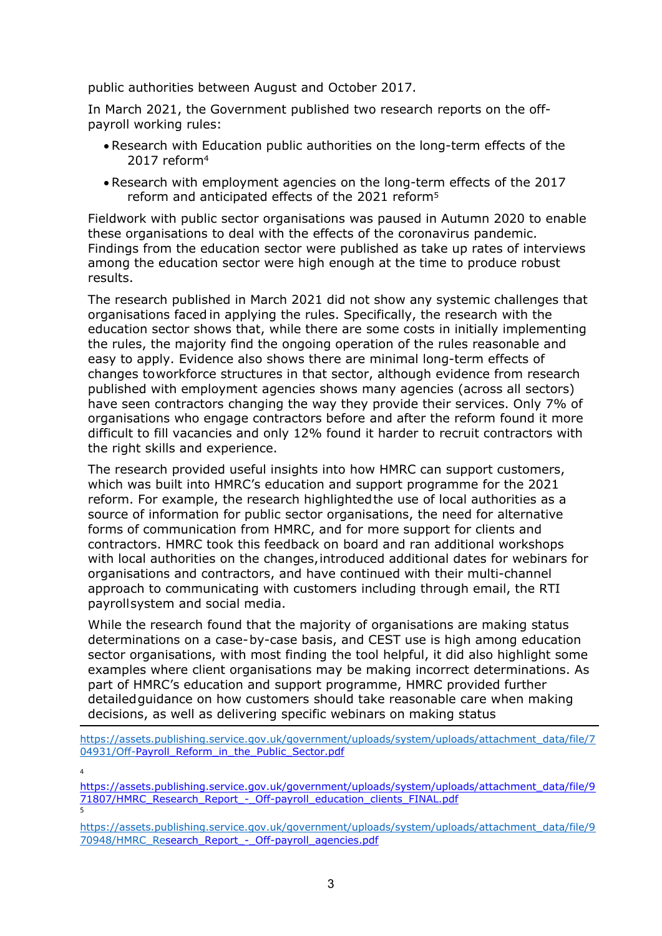public authorities between August and October 2017.

In March 2021, the Government published two research reports on the offpayroll working rules:

- Research with Education public authorities on the long-term effects of the 2017 reform<sup>4</sup>
- Research with employment agencies on the long-term effects of the 2017 reform and anticipated effects of the 2021 reform<sup>5</sup>

Fieldwork with public sector organisations was paused in Autumn 2020 to enable these organisations to deal with the effects of the coronavirus pandemic. Findings from the education sector were published as take up rates of interviews among the education sector were high enough at the time to produce robust results.

The research published in March 2021 did not show any systemic challenges that organisations faced in applying the rules. Specifically, the research with the education sector shows that, while there are some costs in initially implementing the rules, the majority find the ongoing operation of the rules reasonable and easy to apply. Evidence also shows there are minimal long-term effects of changes toworkforce structures in that sector, although evidence from research published with employment agencies shows many agencies (across all sectors) have seen contractors changing the way they provide their services. Only 7% of organisations who engage contractors before and after the reform found it more difficult to fill vacancies and only 12% found it harder to recruit contractors with the right skills and experience.

The research provided useful insights into how HMRC can support customers, which was built into HMRC's education and support programme for the 2021 reform. For example, the research highlightedthe use of local authorities as a source of information for public sector organisations, the need for alternative forms of communication from HMRC, and for more support for clients and contractors. HMRC took this feedback on board and ran additional workshops with local authorities on the changes,introduced additional dates for webinars for organisations and contractors, and have continued with their multi-channel approach to communicating with customers including through email, the RTI payrollsystem and social media.

While the research found that the majority of organisations are making status determinations on a case-by-case basis, and CEST use is high among education sector organisations, with most finding the tool helpful, it did also highlight some examples where client organisations may be making incorrect determinations. As part of HMRC's education and support programme, HMRC provided further detailedguidance on how customers should take reasonable care when making decisions, as well as delivering specific webinars on making status

[https://assets.publishing.service.gov.uk/government/uploads/system/uploads/attachment\\_data/file/7](https://assets.publishing.service.gov.uk/government/uploads/system/uploads/attachment_data/file/704931/Off-) [04931/Off-](https://assets.publishing.service.gov.uk/government/uploads/system/uploads/attachment_data/file/704931/Off-)[Payroll\\_Reform\\_in\\_the\\_Public\\_Sector.pdf](https://assets.publishing.service.gov.uk/government/uploads/system/uploads/attachment_data/file/704931/Off-Payroll_Reform_in_the_Public_Sector.pdf)

4 [https://assets.publishing.service.gov.uk/government/uploads/system/uploads/attachment\\_data/file/9](https://assets.publishing.service.gov.uk/government/uploads/system/uploads/attachment_data/file/971807/HMRC_Research_Report_-_Off-payroll_education_clients_FINAL.pdf) [71807/HMRC\\_Research\\_Report\\_-\\_Off-payroll\\_education\\_clients\\_FINAL.pdf](https://assets.publishing.service.gov.uk/government/uploads/system/uploads/attachment_data/file/971807/HMRC_Research_Report_-_Off-payroll_education_clients_FINAL.pdf) 5

[https://assets.publishing.service.gov.uk/government/uploads/system/uploads/attachment\\_data/file/9](https://assets.publishing.service.gov.uk/government/uploads/system/uploads/attachment_data/file/970948/HMRC_Re) [70948/HMRC\\_Re](https://assets.publishing.service.gov.uk/government/uploads/system/uploads/attachment_data/file/970948/HMRC_Re)[search\\_Report\\_-\\_Off-payroll\\_agencies.pdf](https://assets.publishing.service.gov.uk/government/uploads/system/uploads/attachment_data/file/970948/HMRC_Research_Report_-_Off-payroll_agencies.pdf)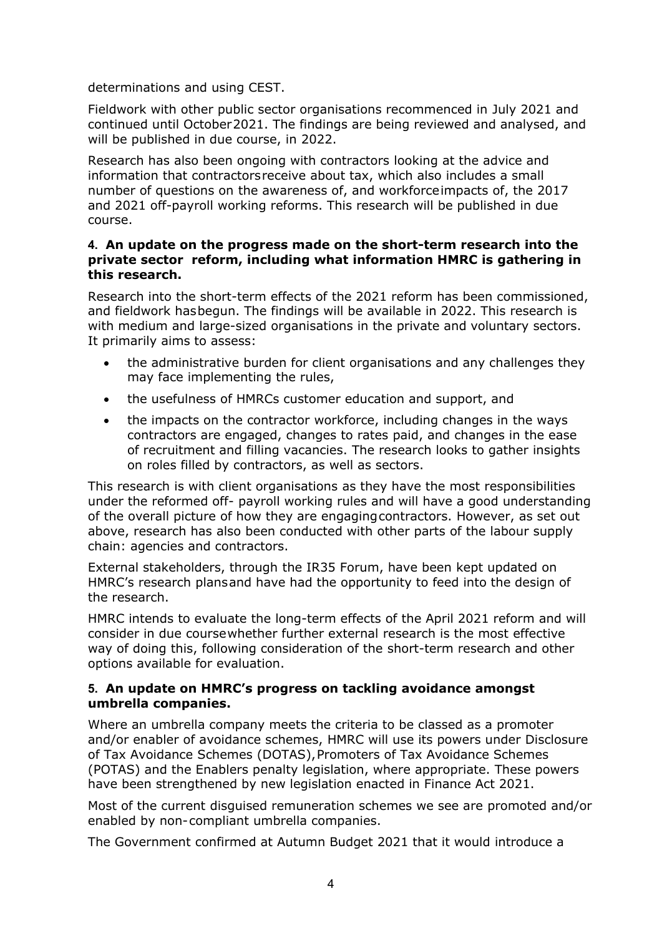determinations and using CEST.

Fieldwork with other public sector organisations recommenced in July 2021 and continued until October2021. The findings are being reviewed and analysed, and will be published in due course, in 2022.

Research has also been ongoing with contractors looking at the advice and information that contractorsreceive about tax, which also includes a small number of questions on the awareness of, and workforceimpacts of, the 2017 and 2021 off-payroll working reforms. This research will be published in due course.

#### **4. An update on the progress made on the short-term research into the private sector reform, including what information HMRC is gathering in this research.**

Research into the short-term effects of the 2021 reform has been commissioned, and fieldwork hasbegun. The findings will be available in 2022. This research is with medium and large-sized organisations in the private and voluntary sectors. It primarily aims to assess:

- the administrative burden for client organisations and any challenges they may face implementing the rules,
- the usefulness of HMRCs customer education and support, and
- the impacts on the contractor workforce, including changes in the ways contractors are engaged, changes to rates paid, and changes in the ease of recruitment and filling vacancies. The research looks to gather insights on roles filled by contractors, as well as sectors.

This research is with client organisations as they have the most responsibilities under the reformed off- payroll working rules and will have a good understanding of the overall picture of how they are engagingcontractors. However, as set out above, research has also been conducted with other parts of the labour supply chain: agencies and contractors.

External stakeholders, through the IR35 Forum, have been kept updated on HMRC's research plansand have had the opportunity to feed into the design of the research.

HMRC intends to evaluate the long-term effects of the April 2021 reform and will consider in due coursewhether further external research is the most effective way of doing this, following consideration of the short-term research and other options available for evaluation.

#### **5. An update on HMRC's progress on tackling avoidance amongst umbrella companies.**

Where an umbrella company meets the criteria to be classed as a promoter and/or enabler of avoidance schemes, HMRC will use its powers under Disclosure of Tax Avoidance Schemes (DOTAS),Promoters of Tax Avoidance Schemes (POTAS) and the Enablers penalty legislation, where appropriate. These powers have been strengthened by new legislation enacted in Finance Act 2021.

Most of the current disguised remuneration schemes we see are promoted and/or enabled by non-compliant umbrella companies.

The Government confirmed at Autumn Budget 2021 that it would introduce a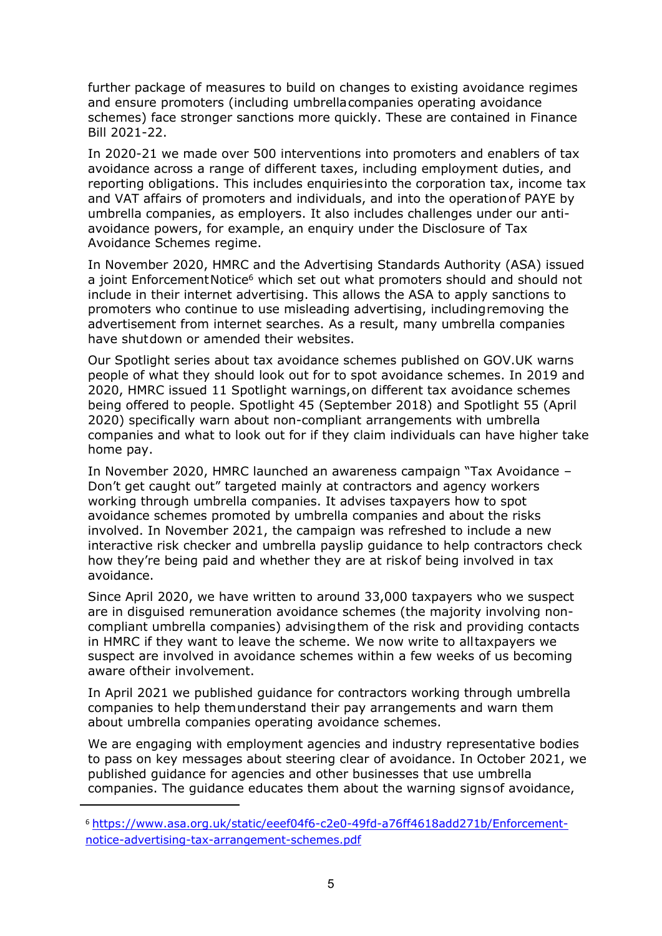further package of measures to build on changes to existing avoidance regimes and ensure promoters (including umbrellacompanies operating avoidance schemes) face stronger sanctions more quickly. These are contained in Finance Bill 2021-22.

In 2020-21 we made over 500 interventions into promoters and enablers of tax avoidance across a range of different taxes, including employment duties, and reporting obligations. This includes enquiriesinto the corporation tax, income tax and VAT affairs of promoters and individuals, and into the operationof PAYE by umbrella companies, as employers. It also includes challenges under our antiavoidance powers, for example, an enquiry under the Disclosure of Tax Avoidance Schemes regime.

In November 2020, HMRC and the Advertising Standards Authority (ASA) issued a joint EnforcementNotice<sup>6</sup> which set out what promoters should and should not include in their internet advertising. This allows the ASA to apply sanctions to promoters who continue to use misleading advertising, includingremoving the advertisement from internet searches. As a result, many umbrella companies have shutdown or amended their websites.

Our Spotlight series about tax avoidance schemes published on GOV.UK warns people of what they should look out for to spot avoidance schemes. In 2019 and 2020, HMRC issued 11 Spotlight warnings,on different tax avoidance schemes being offered to people. Spotlight 45 (September 2018) and Spotlight 55 (April 2020) specifically warn about non-compliant arrangements with umbrella companies and what to look out for if they claim individuals can have higher take home pay.

In November 2020, HMRC launched an awareness campaign "Tax Avoidance – Don't get caught out" targeted mainly at contractors and agency workers working through umbrella companies. It advises taxpayers how to spot avoidance schemes promoted by umbrella companies and about the risks involved. In November 2021, the campaign was refreshed to include a new interactive risk checker and umbrella payslip guidance to help contractors check how they're being paid and whether they are at riskof being involved in tax avoidance.

Since April 2020, we have written to around 33,000 taxpayers who we suspect are in disguised remuneration avoidance schemes (the majority involving noncompliant umbrella companies) advisingthem of the risk and providing contacts in HMRC if they want to leave the scheme. We now write to alltaxpayers we suspect are involved in avoidance schemes within a few weeks of us becoming aware oftheir involvement.

In April 2021 we published guidance for contractors working through umbrella companies to help themunderstand their pay arrangements and warn them about umbrella companies operating avoidance schemes.

We are engaging with employment agencies and industry representative bodies to pass on key messages about steering clear of avoidance. In October 2021, we published guidance for agencies and other businesses that use umbrella companies. The guidance educates them about the warning signsof avoidance,

<sup>6</sup> [https://www.asa.org.uk/static/eeef04f6-c2e0-49fd-a76ff4618add271b/Enforcement](https://www.asa.org.uk/static/eeef04f6-c2e0-49fd-a76ff4618add271b/Enforcement-notice-advertising-tax-arrangement-schemes.pdf)[notice-advertising-tax-arrangement-schemes.pdf](https://www.asa.org.uk/static/eeef04f6-c2e0-49fd-a76ff4618add271b/Enforcement-notice-advertising-tax-arrangement-schemes.pdf)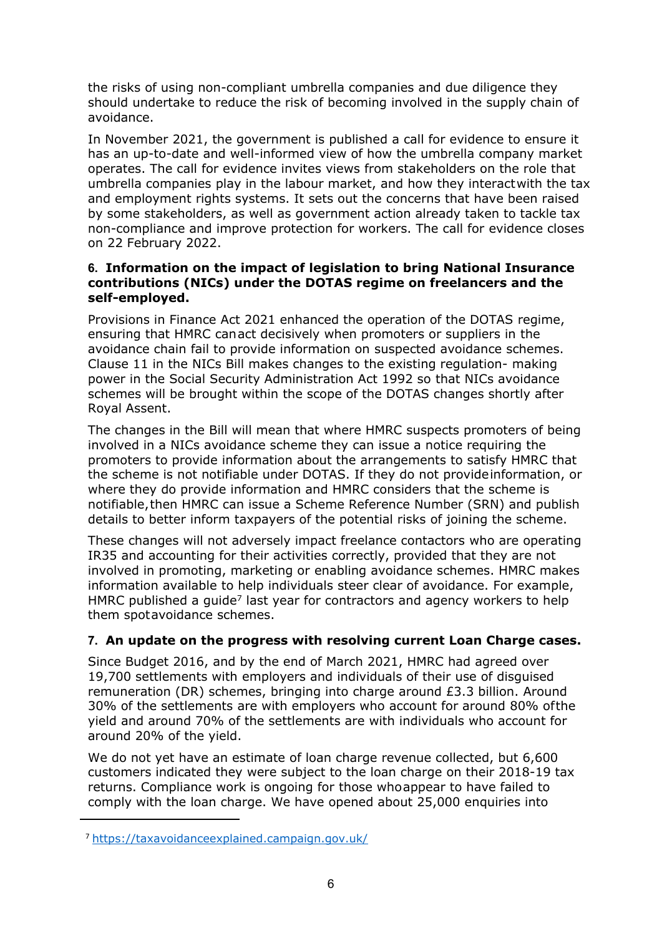the risks of using non-compliant umbrella companies and due diligence they should undertake to reduce the risk of becoming involved in the supply chain of avoidance.

In November 2021, the government is published a call for evidence to ensure it has an up-to-date and well-informed view of how the umbrella company market operates. The call for evidence invites views from stakeholders on the role that umbrella companies play in the labour market, and how they interactwith the tax and employment rights systems. It sets out the concerns that have been raised by some stakeholders, as well as government action already taken to tackle tax non-compliance and improve protection for workers. The call for evidence closes on 22 February 2022.

#### **6. Information on the impact of legislation to bring National Insurance contributions (NICs) under the DOTAS regime on freelancers and the self-employed.**

Provisions in Finance Act 2021 enhanced the operation of the DOTAS regime, ensuring that HMRC canact decisively when promoters or suppliers in the avoidance chain fail to provide information on suspected avoidance schemes. Clause 11 in the NICs Bill makes changes to the existing regulation- making power in the Social Security Administration Act 1992 so that NICs avoidance schemes will be brought within the scope of the DOTAS changes shortly after Royal Assent.

The changes in the Bill will mean that where HMRC suspects promoters of being involved in a NICs avoidance scheme they can issue a notice requiring the promoters to provide information about the arrangements to satisfy HMRC that the scheme is not notifiable under DOTAS. If they do not provideinformation, or where they do provide information and HMRC considers that the scheme is notifiable,then HMRC can issue a Scheme Reference Number (SRN) and publish details to better inform taxpayers of the potential risks of joining the scheme.

These changes will not adversely impact freelance contactors who are operating IR35 and accounting for their activities correctly, provided that they are not involved in promoting, marketing or enabling avoidance schemes. HMRC makes information available to help individuals steer clear of avoidance. For example, HMRC published a guide<sup>7</sup> last year for contractors and agency workers to help them spotavoidance schemes.

## **7. An update on the progress with resolving current Loan Charge cases.**

Since Budget 2016, and by the end of March 2021, HMRC had agreed over 19,700 settlements with employers and individuals of their use of disguised remuneration (DR) schemes, bringing into charge around £3.3 billion. Around 30% of the settlements are with employers who account for around 80% ofthe yield and around 70% of the settlements are with individuals who account for around 20% of the yield.

We do not yet have an estimate of loan charge revenue collected, but 6,600 customers indicated they were subject to the loan charge on their 2018-19 tax returns. Compliance work is ongoing for those whoappear to have failed to comply with the loan charge. We have opened about 25,000 enquiries into

<sup>7</sup> <https://taxavoidanceexplained.campaign.gov.uk/>